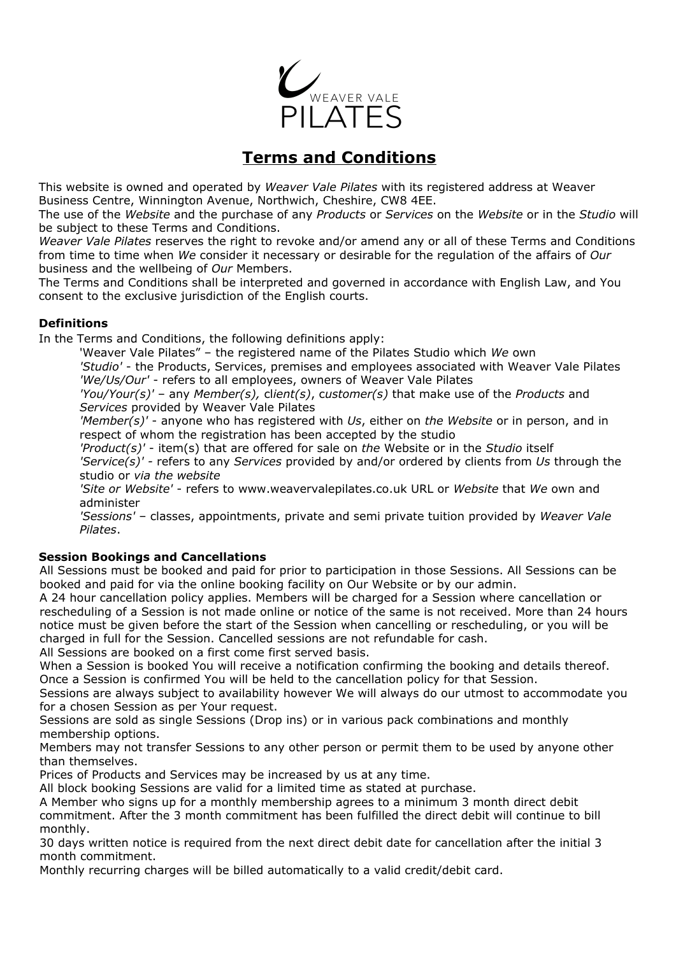

# **Terms and Conditions**

This website is owned and operated by *Weaver Vale Pilates* with its registered address at Weaver Business Centre, Winnington Avenue, Northwich, Cheshire, CW8 4EE.

The use of the *Website* and the purchase of any *Products* or *Services* on the *Website* or in the *Studio* will be subject to these Terms and Conditions.

*Weaver Vale Pilates* reserves the right to revoke and/or amend any or all of these Terms and Conditions from time to time when *We* consider it necessary or desirable for the regulation of the affairs of *Our* business and the wellbeing of *Our* Members.

The Terms and Conditions shall be interpreted and governed in accordance with English Law, and You consent to the exclusive jurisdiction of the English courts.

## **Definitions**

In the Terms and Conditions, the following definitions apply:

'Weaver Vale Pilates" – the registered name of the Pilates Studio which *We* own

*'Studio'* - the Products, Services, premises and employees associated with Weaver Vale Pilates *'We/Us/Our'* - refers to all employees, owners of Weaver Vale Pilates

*'You/Your(s)'* – any *Member(s),* cl*ient(s)*, c*ustomer(s)* that make use of the *Products* and *Services* provided by Weaver Vale Pilates

*'Member(s)'* - anyone who has registered with *Us*, either on *the Website* or in person, and in respect of whom the registration has been accepted by the studio

*'Product(s)'* - item(s) that are offered for sale on *the* Website or in the *Studio* itself *'Service(s)' -* refers to any *Services* provided by and/or ordered by clients from *Us* through the studio or *via the website*

*'Site or Website'* - refers to www.weavervalepilates.co.uk URL or *Website* that *We* own and administer

*'Sessions'* – classes, appointments, private and semi private tuition provided by *Weaver Vale Pilates*.

# **Session Bookings and Cancellations**

All Sessions must be booked and paid for prior to participation in those Sessions. All Sessions can be booked and paid for via the online booking facility on Our Website or by our admin.

A 24 hour cancellation policy applies. Members will be charged for a Session where cancellation or rescheduling of a Session is not made online or notice of the same is not received. More than 24 hours notice must be given before the start of the Session when cancelling or rescheduling, or you will be charged in full for the Session. Cancelled sessions are not refundable for cash.

All Sessions are booked on a first come first served basis.

When a Session is booked You will receive a notification confirming the booking and details thereof. Once a Session is confirmed You will be held to the cancellation policy for that Session.

Sessions are always subject to availability however We will always do our utmost to accommodate you for a chosen Session as per Your request.

Sessions are sold as single Sessions (Drop ins) or in various pack combinations and monthly membership options.

Members may not transfer Sessions to any other person or permit them to be used by anyone other than themselves.

Prices of Products and Services may be increased by us at any time.

All block booking Sessions are valid for a limited time as stated at purchase.

A Member who signs up for a monthly membership agrees to a minimum 3 month direct debit commitment. After the 3 month commitment has been fulfilled the direct debit will continue to bill monthly.

30 days written notice is required from the next direct debit date for cancellation after the initial 3 month commitment.

Monthly recurring charges will be billed automatically to a valid credit/debit card.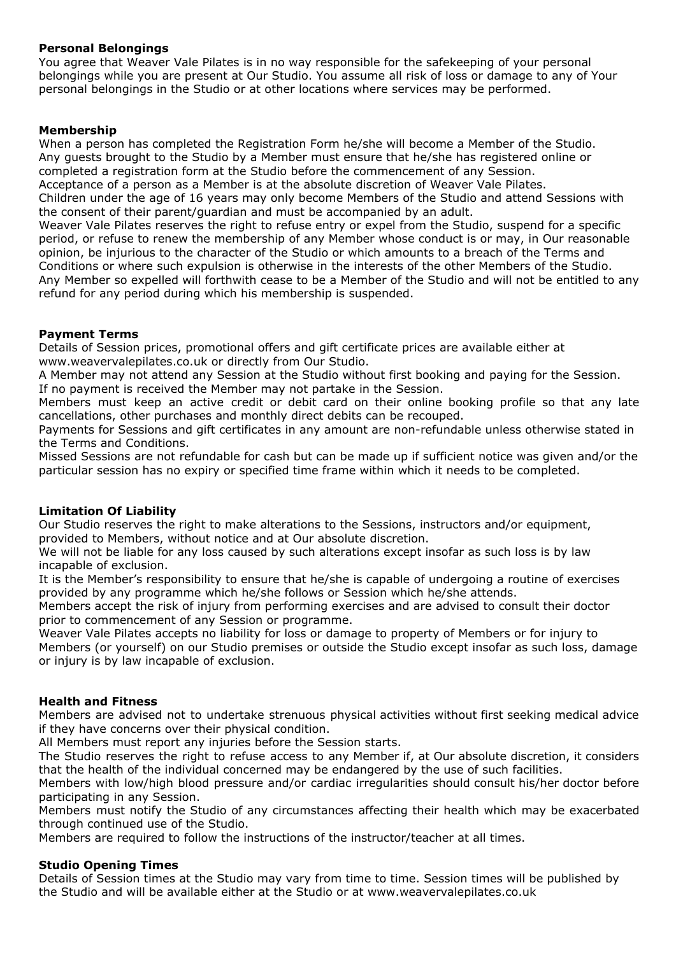# **Personal Belongings**

You agree that Weaver Vale Pilates is in no way responsible for the safekeeping of your personal belongings while you are present at Our Studio. You assume all risk of loss or damage to any of Your personal belongings in the Studio or at other locations where services may be performed.

# **Membership**

When a person has completed the Registration Form he/she will become a Member of the Studio. Any guests brought to the Studio by a Member must ensure that he/she has registered online or completed a registration form at the Studio before the commencement of any Session.

Acceptance of a person as a Member is at the absolute discretion of Weaver Vale Pilates.

Children under the age of 16 years may only become Members of the Studio and attend Sessions with the consent of their parent/guardian and must be accompanied by an adult.

Weaver Vale Pilates reserves the right to refuse entry or expel from the Studio, suspend for a specific period, or refuse to renew the membership of any Member whose conduct is or may, in Our reasonable opinion, be injurious to the character of the Studio or which amounts to a breach of the Terms and Conditions or where such expulsion is otherwise in the interests of the other Members of the Studio. Any Member so expelled will forthwith cease to be a Member of the Studio and will not be entitled to any refund for any period during which his membership is suspended.

## **Payment Terms**

Details of Session prices, promotional offers and gift certificate prices are available either at www.weavervalepilates.co.uk or directly from Our Studio.

A Member may not attend any Session at the Studio without first booking and paying for the Session. If no payment is received the Member may not partake in the Session.

Members must keep an active credit or debit card on their online booking profile so that any late cancellations, other purchases and monthly direct debits can be recouped.

Payments for Sessions and gift certificates in any amount are non-refundable unless otherwise stated in the Terms and Conditions.

Missed Sessions are not refundable for cash but can be made up if sufficient notice was given and/or the particular session has no expiry or specified time frame within which it needs to be completed.

#### **Limitation Of Liability**

Our Studio reserves the right to make alterations to the Sessions, instructors and/or equipment, provided to Members, without notice and at Our absolute discretion.

We will not be liable for any loss caused by such alterations except insofar as such loss is by law incapable of exclusion.

It is the Member's responsibility to ensure that he/she is capable of undergoing a routine of exercises provided by any programme which he/she follows or Session which he/she attends.

Members accept the risk of injury from performing exercises and are advised to consult their doctor prior to commencement of any Session or programme.

Weaver Vale Pilates accepts no liability for loss or damage to property of Members or for injury to Members (or yourself) on our Studio premises or outside the Studio except insofar as such loss, damage or injury is by law incapable of exclusion.

#### **Health and Fitness**

Members are advised not to undertake strenuous physical activities without first seeking medical advice if they have concerns over their physical condition.

All Members must report any injuries before the Session starts.

The Studio reserves the right to refuse access to any Member if, at Our absolute discretion, it considers that the health of the individual concerned may be endangered by the use of such facilities.

Members with low/high blood pressure and/or cardiac irregularities should consult his/her doctor before participating in any Session.

Members must notify the Studio of any circumstances affecting their health which may be exacerbated through continued use of the Studio.

Members are required to follow the instructions of the instructor/teacher at all times.

#### **Studio Opening Times**

Details of Session times at the Studio may vary from time to time. Session times will be published by the Studio and will be available either at the Studio or at www.weavervalepilates.co.uk